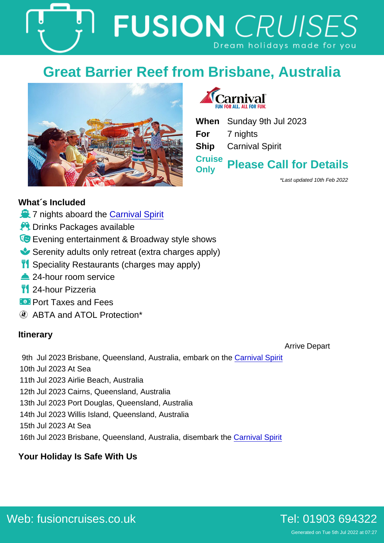## Great Barrier Reef from Brisbane, Australia

When Sunday 9th Jul 2023 For 7 nights Ship Carnival Spirit **Cruise Only** Please Call for Details

\*Last updated 10th Feb 2022

## What´s Included

- ò 7 nights aboard the [Carnival Spirit](https://fusioncruises.co.uk/ocean/carnival/spirit/)
- ÷Ÿ Drinks Packages available
- ö0 Evening entertainment & Broadway style shows
- õ» Serenity adults only retreat (extra charges apply)
- òç Speciality Restaurants (charges may apply)
- õb 24-hour room service
- òç 24-hour Pizzeria
- óÑ Port Taxes and Fees

ABTA and ATOL Protection\*

## **Itinerary**

Arrive Depart

9th Jul 2023 Brisbane, Queensland, Australia, embark on the [Carnival Spirit](https://fusioncruises.co.uk/ocean/carnival/spirit/) 10th Jul 2023 At Sea 11th Jul 2023 Airlie Beach, Australia 12th Jul 2023 Cairns, Queensland, Australia 13th Jul 2023 Port Douglas, Queensland, Australia 14th Jul 2023 Willis Island, Queensland, Australia 15th Jul 2023 At Sea 16th Jul 2023 Brisbane, Queensland, Australia, disembark the [Carnival Spirit](https://fusioncruises.co.uk/ocean/carnival/spirit/)

Your Holiday Is Safe With Us

[Web: fusioncruises.co.uk](https://fusioncruises.co.uk/ocean/carnival/spirit/09-July-2023-7-nights) [Tel: 01903 694322](tel://01903694322)

Generated on Tue 5th Jul 2022 at 07:27